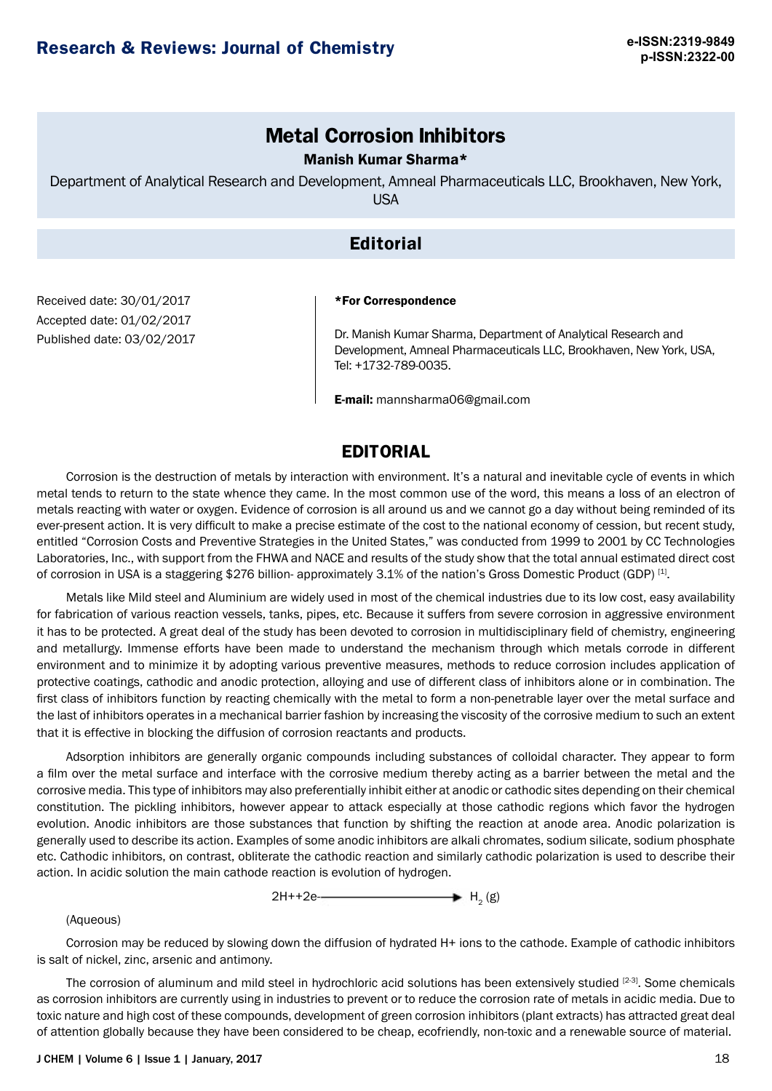# **Metal Corrosion Inhibitors**

### Manish Kumar Sharma\*

Department of Analytical Research and Development, Amneal Pharmaceuticals LLC, Brookhaven, New York, USA

# **Editorial**

Received date: 30/01/2017 Accepted date: 01/02/2017 Published date: 03/02/2017

#### \*For Correspondence

Dr. Manish Kumar Sharma, Department of Analytical Research and Development, Amneal Pharmaceuticals LLC, Brookhaven, New York, USA, Tel: +1732-789-0035.

E-mail: [mannsharma06@gmail.com](mailto:mannsharma06@gmail.com)

# **EDITORIAL**

Corrosion is the destruction of metals by interaction with environment. It's a natural and inevitable cycle of events in which metal tends to return to the state whence they came. In the most common use of the word, this means a loss of an electron of metals reacting with water or oxygen. Evidence of corrosion is all around us and we cannot go a day without being reminded of its ever-present action. It is very difficult to make a precise estimate of the cost to the national economy of cession, but recent study, entitled "Corrosion Costs and Preventive Strategies in the United States," was conducted from 1999 to 2001 by CC Technologies Laboratories, Inc., with support from the FHWA and NACE and results of the study show that the total annual estimated direct cost of corrosion in USA is a staggering \$276 billion- approximately 3.1% of the nation's Gross Domestic Product (GDP) [1].

Metals like Mild steel and Aluminium are widely used in most of the chemical industries due to its low cost, easy availability for fabrication of various reaction vessels, tanks, pipes, etc. Because it suffers from severe corrosion in aggressive environment it has to be protected. A great deal of the study has been devoted to corrosion in multidisciplinary field of chemistry, engineering and metallurgy. Immense efforts have been made to understand the mechanism through which metals corrode in different environment and to minimize it by adopting various preventive measures, methods to reduce corrosion includes application of protective coatings, cathodic and anodic protection, alloying and use of different class of inhibitors alone or in combination. The first class of inhibitors function by reacting chemically with the metal to form a non-penetrable layer over the metal surface and the last of inhibitors operates in a mechanical barrier fashion by increasing the viscosity of the corrosive medium to such an extent that it is effective in blocking the diffusion of corrosion reactants and products.

Adsorption inhibitors are generally organic compounds including substances of colloidal character. They appear to form a film over the metal surface and interface with the corrosive medium thereby acting as a barrier between the metal and the corrosive media. This type of inhibitors may also preferentially inhibit either at anodic or cathodic sites depending on their chemical constitution. The pickling inhibitors, however appear to attack especially at those cathodic regions which favor the hydrogen evolution. Anodic inhibitors are those substances that function by shifting the reaction at anode area. Anodic polarization is generally used to describe its action. Examples of some anodic inhibitors are alkali chromates, sodium silicate, sodium phosphate etc. Cathodic inhibitors, on contrast, obliterate the cathodic reaction and similarly cathodic polarization is used to describe their action. In acidic solution the main cathode reaction is evolution of hydrogen.



#### (Aqueous)

Corrosion may be reduced by slowing down the diffusion of hydrated H+ ions to the cathode. Example of cathodic inhibitors is salt of nickel, zinc, arsenic and antimony.

The corrosion of aluminum and mild steel in hydrochloric acid solutions has been extensively studied [2-3]. Some chemicals as corrosion inhibitors are currently using in industries to prevent or to reduce the corrosion rate of metals in acidic media. Due to toxic nature and high cost of these compounds, development of green corrosion inhibitors (plant extracts) has attracted great deal of attention globally because they have been considered to be cheap, ecofriendly, non-toxic and a renewable source of material.